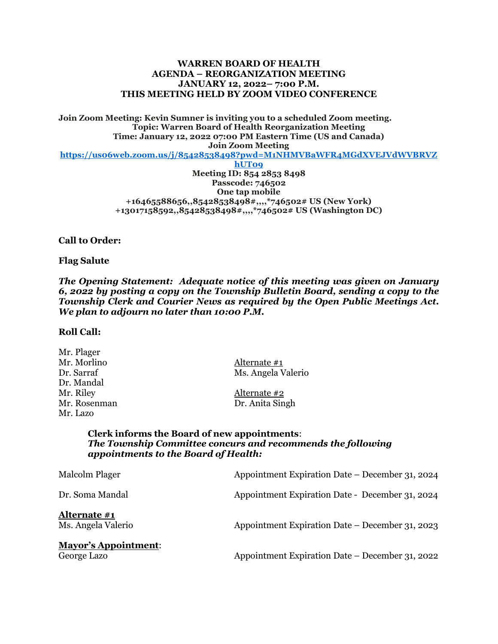### **WARREN BOARD OF HEALTH AGENDA – REORGANIZATION MEETING JANUARY 12, 2022– 7:00 P.M. THIS MEETING HELD BY ZOOM VIDEO CONFERENCE**

**Join Zoom Meeting: Kevin Sumner is inviting you to a scheduled Zoom meeting. Topic: Warren Board of Health Reorganization Meeting Time: January 12, 2022 07:00 PM Eastern Time (US and Canada) Join Zoom Meeting**

**[https://us06web.zoom.us/j/85428538498?pwd=M1NHMVBaWFR4MGdXVEJVdWVBRVZ](https://us06web.zoom.us/j/85428538498?pwd=M1NHMVBaWFR4MGdXVEJVdWVBRVZhUT09)**

**[hUT09](https://us06web.zoom.us/j/85428538498?pwd=M1NHMVBaWFR4MGdXVEJVdWVBRVZhUT09) Meeting ID: 854 2853 8498 Passcode: 746502 One tap mobile +16465588656,,85428538498#,,,,\*746502# US (New York) +13017158592,,85428538498#,,,,\*746502# US (Washington DC)**

**Call to Order:**

#### **Flag Salute**

*The Opening Statement: Adequate notice of this meeting was given on January 6, 2022 by posting a copy on the Township Bulletin Board, sending a copy to the Township Clerk and Courier News as required by the Open Public Meetings Act. We plan to adjourn no later than 10:00 P.M.*

### **Roll Call:**

| Alternate #1       |
|--------------------|
| Ms. Angela Valerio |
|                    |
| Alternate #2       |
| Dr. Anita Singh    |
|                    |
|                    |

### **Clerk informs the Board of new appointments**: *The Township Committee concurs and recommends the following appointments to the Board of Health:*

| Malcolm Plager                             | Appointment Expiration Date – December 31, 2024 |
|--------------------------------------------|-------------------------------------------------|
| Dr. Soma Mandal                            | Appointment Expiration Date - December 31, 2024 |
| Alternate #1<br>Ms. Angela Valerio         | Appointment Expiration Date – December 31, 2023 |
| <b>Mayor's Appointment:</b><br>George Lazo | Appointment Expiration Date – December 31, 2022 |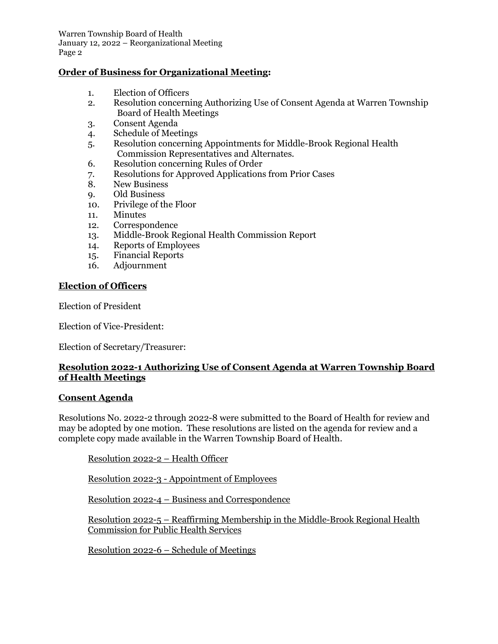Warren Township Board of Health January 12, 2022 – Reorganizational Meeting Page 2

## **Order of Business for Organizational Meeting:**

- 1. Election of Officers
- 2. Resolution concerning Authorizing Use of Consent Agenda at Warren Township Board of Health Meetings
- 3. Consent Agenda
- 4. Schedule of Meetings
- 5. Resolution concerning Appointments for Middle-Brook Regional Health Commission Representatives and Alternates.
- 6. Resolution concerning Rules of Order
- 7. Resolutions for Approved Applications from Prior Cases<br>8. New Business
- New Business
- 9. Old Business
- 10. Privilege of the Floor
- 11. Minutes
- 12. Correspondence
- 13. Middle-Brook Regional Health Commission Report
- 14. Reports of Employees
- 15. Financial Reports
- 16. Adjournment

### **Election of Officers**

Election of President

Election of Vice-President:

Election of Secretary/Treasurer:

## **Resolution 2022-1 Authorizing Use of Consent Agenda at Warren Township Board of Health Meetings**

#### **Consent Agenda**

Resolutions No. 2022-2 through 2022-8 were submitted to the Board of Health for review and may be adopted by one motion. These resolutions are listed on the agenda for review and a complete copy made available in the Warren Township Board of Health.

Resolution 2022-2 – Health Officer

Resolution 2022-3 - Appointment of Employees

Resolution 2022-4 – Business and Correspondence

Resolution 2022-5 – Reaffirming Membership in the Middle-Brook Regional Health Commission for Public Health Services

Resolution 2022-6 – Schedule of Meetings